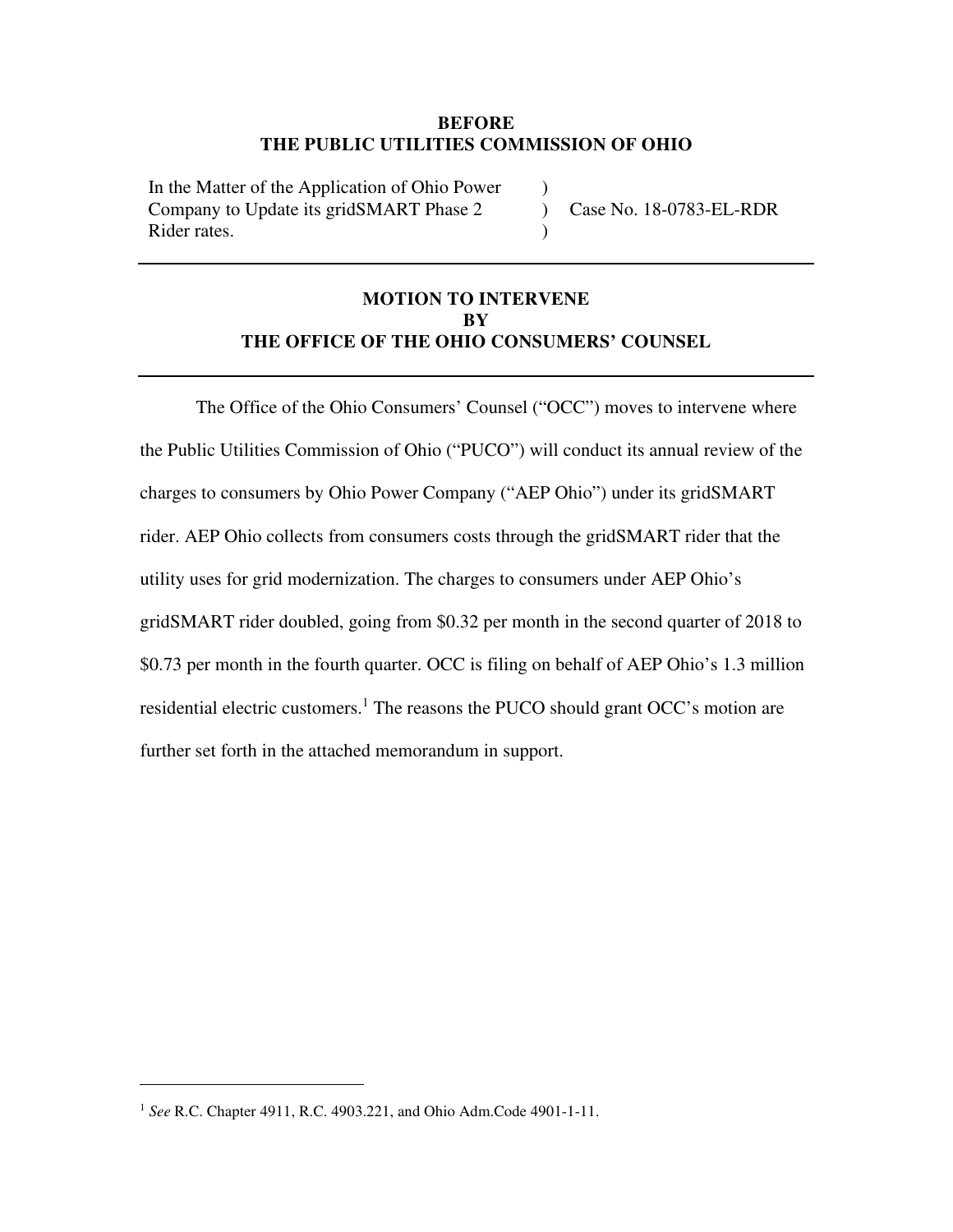### **BEFORE THE PUBLIC UTILITIES COMMISSION OF OHIO**

)

 $\lambda$ 

In the Matter of the Application of Ohio Power Company to Update its gridSMART Phase 2 Rider rates.

 $\mathcal{L}$ Case No. 18-0783-EL-RDR

# **MOTION TO INTERVENE BY THE OFFICE OF THE OHIO CONSUMERS' COUNSEL**

The Office of the Ohio Consumers' Counsel ("OCC") moves to intervene where the Public Utilities Commission of Ohio ("PUCO") will conduct its annual review of the charges to consumers by Ohio Power Company ("AEP Ohio") under its gridSMART rider. AEP Ohio collects from consumers costs through the gridSMART rider that the utility uses for grid modernization. The charges to consumers under AEP Ohio's gridSMART rider doubled, going from \$0.32 per month in the second quarter of 2018 to \$0.73 per month in the fourth quarter. OCC is filing on behalf of AEP Ohio's 1.3 million residential electric customers.<sup>1</sup> The reasons the PUCO should grant OCC's motion are further set forth in the attached memorandum in support.

<sup>1</sup> *See* R.C. Chapter 4911, R.C. 4903.221, and Ohio Adm.Code 4901-1-11.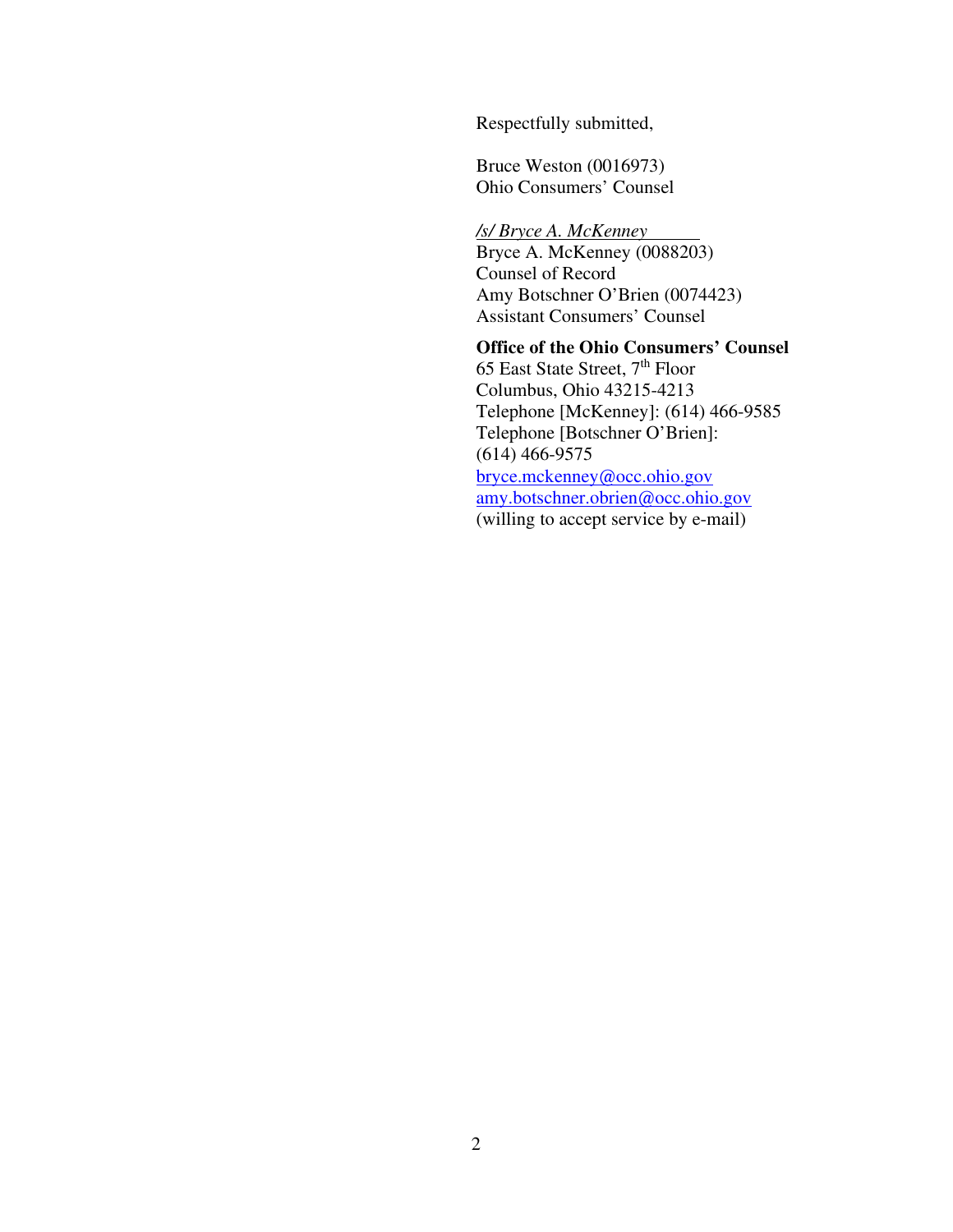Respectfully submitted,

Bruce Weston (0016973) Ohio Consumers' Counsel

*/s/ Bryce A. McKenney*  Bryce A. McKenney (0088203) Counsel of Record Amy Botschner O'Brien (0074423) Assistant Consumers' Counsel

#### **Office of the Ohio Consumers' Counsel**

65 East State Street, 7<sup>th</sup> Floor Columbus, Ohio 43215-4213 Telephone [McKenney]: (614) 466-9585 Telephone [Botschner O'Brien]: (614) 466-9575 bryce.mckenney@occ.ohio.gov amy.botschner.obrien@occ.ohio.gov (willing to accept service by e-mail)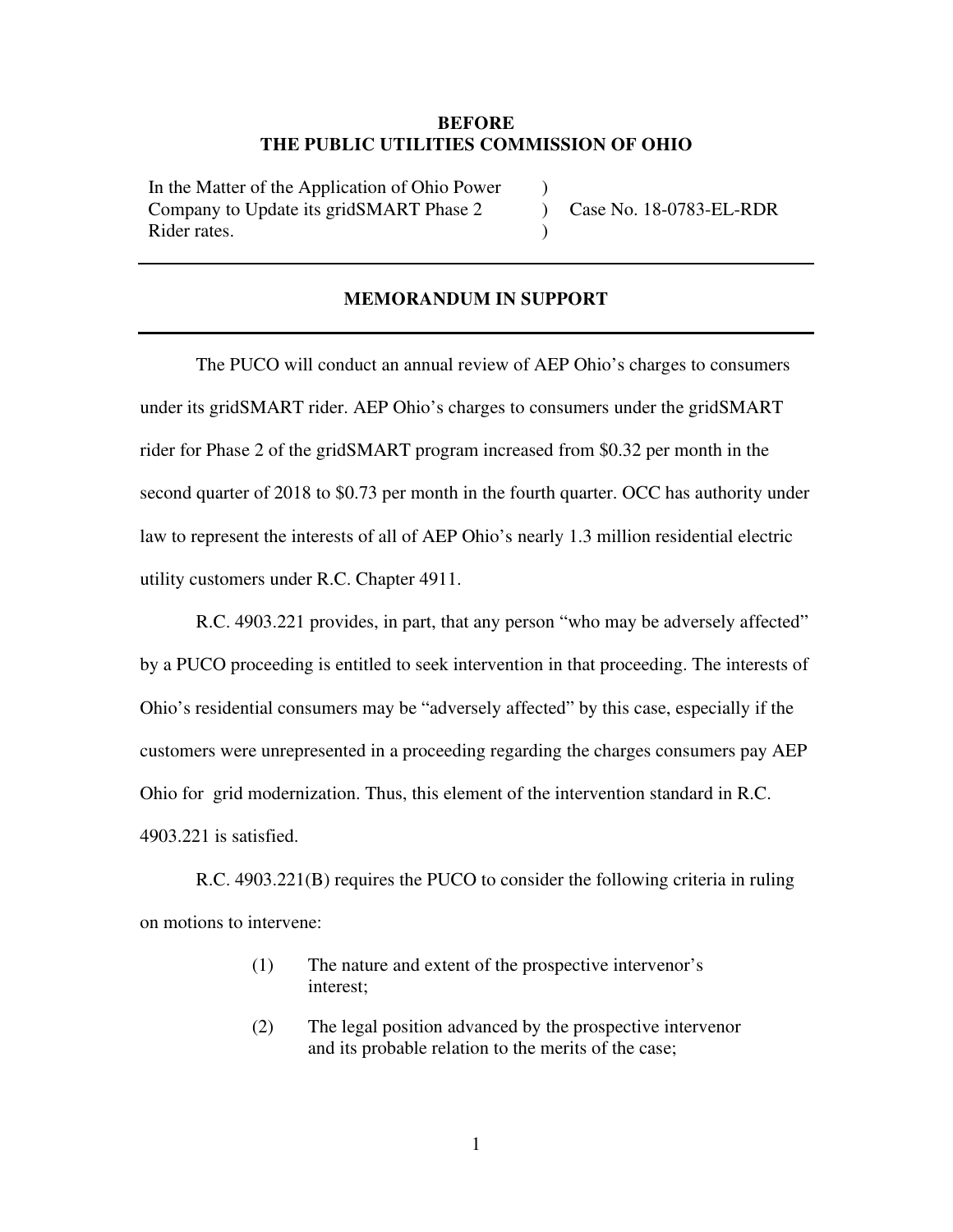#### **BEFORE THE PUBLIC UTILITIES COMMISSION OF OHIO**

)  $\lambda$  $\lambda$ 

In the Matter of the Application of Ohio Power Company to Update its gridSMART Phase 2 Rider rates.

Case No. 18-0783-EL-RDR

#### **MEMORANDUM IN SUPPORT**

The PUCO will conduct an annual review of AEP Ohio's charges to consumers under its gridSMART rider. AEP Ohio's charges to consumers under the gridSMART rider for Phase 2 of the gridSMART program increased from \$0.32 per month in the second quarter of 2018 to \$0.73 per month in the fourth quarter. OCC has authority under law to represent the interests of all of AEP Ohio's nearly 1.3 million residential electric utility customers under R.C. Chapter 4911.

R.C. 4903.221 provides, in part, that any person "who may be adversely affected" by a PUCO proceeding is entitled to seek intervention in that proceeding. The interests of Ohio's residential consumers may be "adversely affected" by this case, especially if the customers were unrepresented in a proceeding regarding the charges consumers pay AEP Ohio for grid modernization. Thus, this element of the intervention standard in R.C. 4903.221 is satisfied.

R.C. 4903.221(B) requires the PUCO to consider the following criteria in ruling on motions to intervene:

- (1) The nature and extent of the prospective intervenor's interest;
- (2) The legal position advanced by the prospective intervenor and its probable relation to the merits of the case;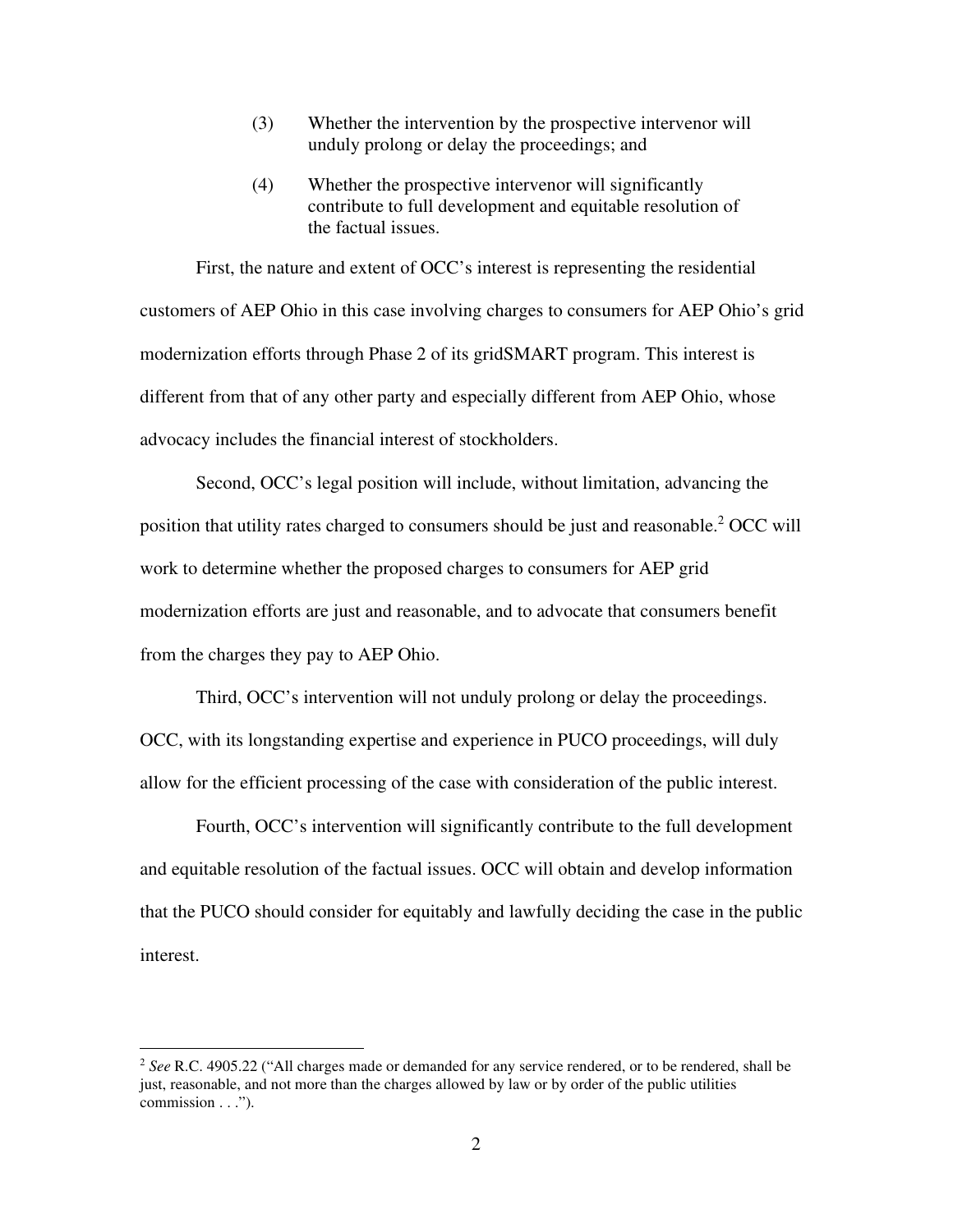- (3) Whether the intervention by the prospective intervenor will unduly prolong or delay the proceedings; and
- (4) Whether the prospective intervenor will significantly contribute to full development and equitable resolution of the factual issues.

First, the nature and extent of OCC's interest is representing the residential customers of AEP Ohio in this case involving charges to consumers for AEP Ohio's grid modernization efforts through Phase 2 of its gridSMART program. This interest is different from that of any other party and especially different from AEP Ohio, whose advocacy includes the financial interest of stockholders.

Second, OCC's legal position will include, without limitation, advancing the position that utility rates charged to consumers should be just and reasonable.<sup>2</sup> OCC will work to determine whether the proposed charges to consumers for AEP grid modernization efforts are just and reasonable, and to advocate that consumers benefit from the charges they pay to AEP Ohio.

Third, OCC's intervention will not unduly prolong or delay the proceedings. OCC, with its longstanding expertise and experience in PUCO proceedings, will duly allow for the efficient processing of the case with consideration of the public interest.

Fourth, OCC's intervention will significantly contribute to the full development and equitable resolution of the factual issues. OCC will obtain and develop information that the PUCO should consider for equitably and lawfully deciding the case in the public interest.

<sup>2</sup> *See* R.C. 4905.22 ("All charges made or demanded for any service rendered, or to be rendered, shall be just, reasonable, and not more than the charges allowed by law or by order of the public utilities commission . . .").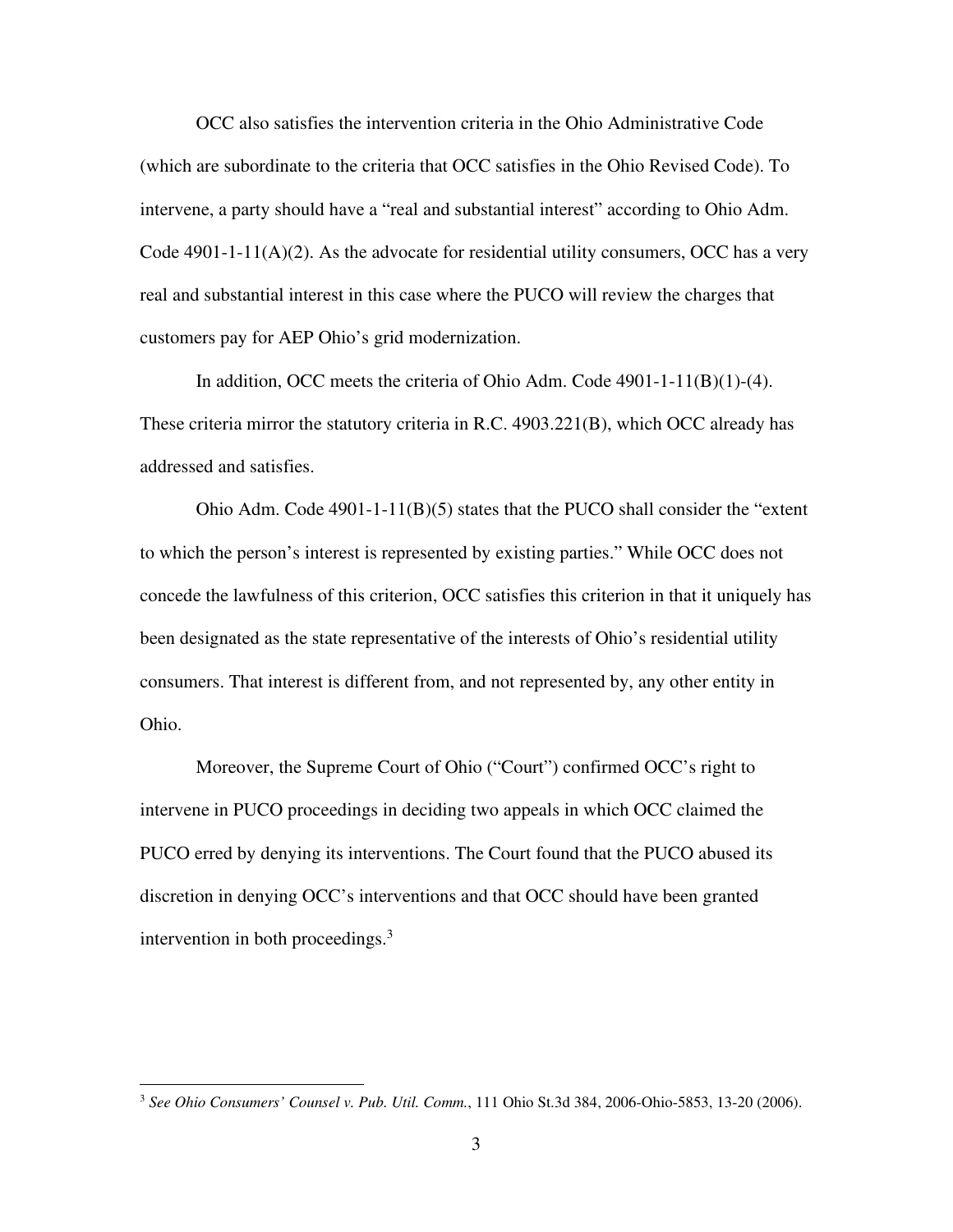OCC also satisfies the intervention criteria in the Ohio Administrative Code (which are subordinate to the criteria that OCC satisfies in the Ohio Revised Code). To intervene, a party should have a "real and substantial interest" according to Ohio Adm. Code  $4901-1-11(A)(2)$ . As the advocate for residential utility consumers, OCC has a very real and substantial interest in this case where the PUCO will review the charges that customers pay for AEP Ohio's grid modernization.

In addition, OCC meets the criteria of Ohio Adm. Code 4901-1-11(B)(1)-(4). These criteria mirror the statutory criteria in R.C. 4903.221(B), which OCC already has addressed and satisfies.

Ohio Adm. Code  $4901-1-11(B)(5)$  states that the PUCO shall consider the "extent" to which the person's interest is represented by existing parties." While OCC does not concede the lawfulness of this criterion, OCC satisfies this criterion in that it uniquely has been designated as the state representative of the interests of Ohio's residential utility consumers. That interest is different from, and not represented by, any other entity in Ohio.

Moreover, the Supreme Court of Ohio ("Court") confirmed OCC's right to intervene in PUCO proceedings in deciding two appeals in which OCC claimed the PUCO erred by denying its interventions. The Court found that the PUCO abused its discretion in denying OCC's interventions and that OCC should have been granted intervention in both proceedings. $3$ 

<sup>3</sup> *See Ohio Consumers' Counsel v. Pub. Util. Comm.*, 111 Ohio St.3d 384, 2006-Ohio-5853, 13-20 (2006).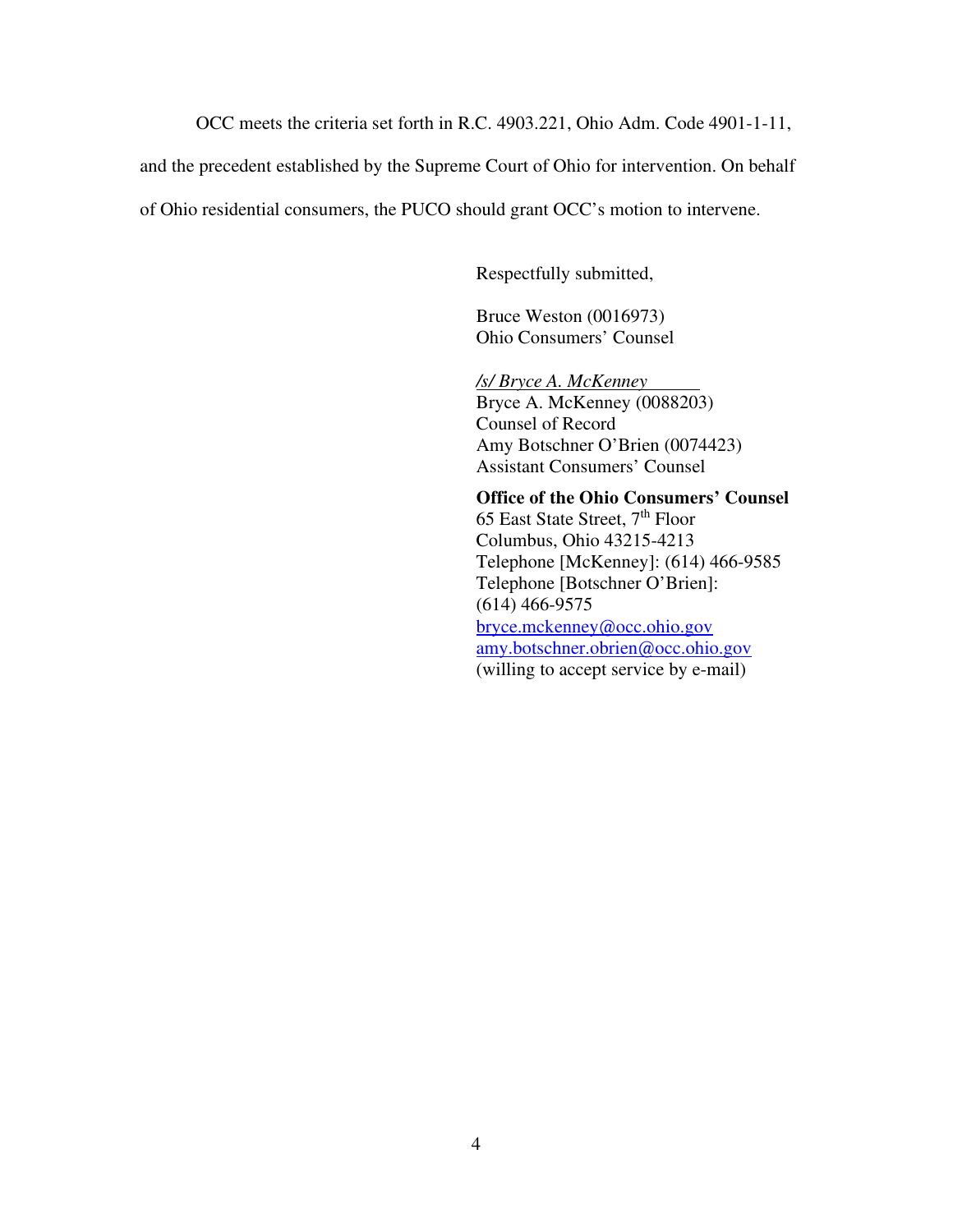OCC meets the criteria set forth in R.C. 4903.221, Ohio Adm. Code 4901-1-11,

and the precedent established by the Supreme Court of Ohio for intervention. On behalf

of Ohio residential consumers, the PUCO should grant OCC's motion to intervene.

Respectfully submitted,

Bruce Weston (0016973) Ohio Consumers' Counsel

*/s/ Bryce A. McKenney*  Bryce A. McKenney (0088203) Counsel of Record Amy Botschner O'Brien (0074423) Assistant Consumers' Counsel

**Office of the Ohio Consumers' Counsel**  65 East State Street, 7<sup>th</sup> Floor Columbus, Ohio 43215-4213 Telephone [McKenney]: (614) 466-9585 Telephone [Botschner O'Brien]: (614) 466-9575 bryce.mckenney@occ.ohio.gov amy.botschner.obrien@occ.ohio.gov (willing to accept service by e-mail)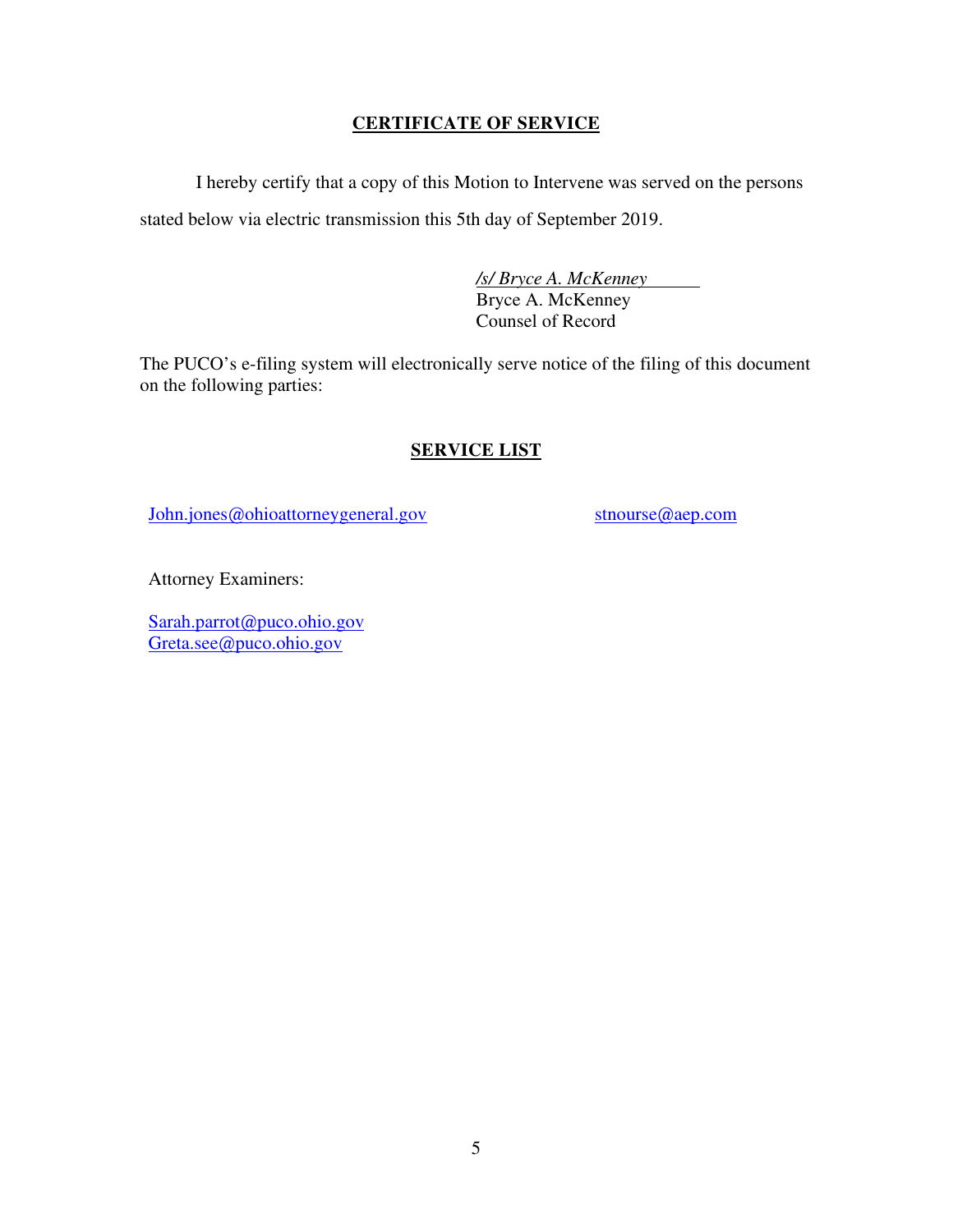## **CERTIFICATE OF SERVICE**

I hereby certify that a copy of this Motion to Intervene was served on the persons stated below via electric transmission this 5th day of September 2019.

> */s/ Bryce A. McKenney*  Bryce A. McKenney Counsel of Record

The PUCO's e-filing system will electronically serve notice of the filing of this document on the following parties:

# **SERVICE LIST**

John.jones@ohioattorneygeneral.gov

stnourse@aep.com

Attorney Examiners:

Sarah.parrot@puco.ohio.gov Greta.see@puco.ohio.gov